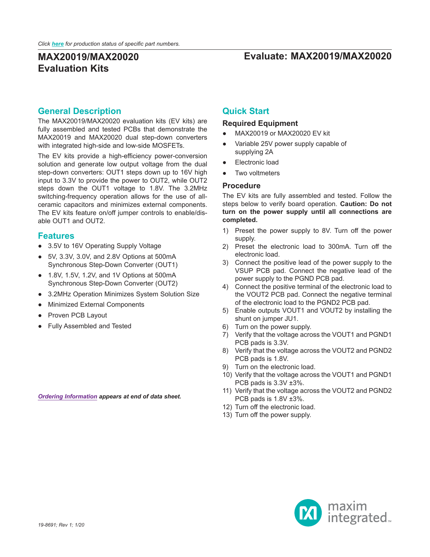## **MAX20019/MAX20020 Evaluate: MAX20019/MAX20020**

# **Evaluation Kits**

### **General Description**

The MAX20019/MAX20020 evaluation kits (EV kits) are fully assembled and tested PCBs that demonstrate the MAX20019 and MAX20020 dual step-down converters with integrated high-side and low-side MOSFETs.

The EV kits provide a high-efficiency power-conversion solution and generate low output voltage from the dual step-down converters: OUT1 steps down up to 16V high input to 3.3V to provide the power to OUT2, while OUT2 steps down the OUT1 voltage to 1.8V. The 3.2MHz switching-frequency operation allows for the use of allceramic capacitors and minimizes external components. The EV kits feature on/off jumper controls to enable/disable OUT1 and OUT2.

#### **Features**

- 3.5V to 16V Operating Supply Voltage
- 5V, 3.3V, 3.0V, and 2.8V Options at 500mA Synchronous Step-Down Converter (OUT1)
- 1.8V, 1.5V, 1.2V, and 1V Options at 500mA Synchronous Step-Down Converter (OUT2)
- 3.2MHz Operation Minimizes System Solution Size
- **Minimized External Components**
- Proven PCB Layout
- Fully Assembled and Tested

*[Ordering Information](#page-1-0) appears at end of data sheet.*

### **Quick Start**

#### **Required Equipment**

- MAX20019 or MAX20020 EV kit
- Variable 25V power supply capable of supplying 2A
- Electronic load
- Two voltmeters

#### **Procedure**

The EV kits are fully assembled and tested. Follow the steps below to verify board operation. **Caution: Do not turn on the power supply until all connections are completed.**

- 1) Preset the power supply to 8V. Turn off the power supply.
- 2) Preset the electronic load to 300mA. Turn off the electronic load.
- 3) Connect the positive lead of the power supply to the VSUP PCB pad. Connect the negative lead of the power supply to the PGND PCB pad.
- 4) Connect the positive terminal of the electronic load to the VOUT2 PCB pad. Connect the negative terminal of the electronic load to the PGND2 PCB pad.
- 5) Enable outputs VOUT1 and VOUT2 by installing the shunt on jumper JU1.
- 6) Turn on the power supply.
- 7) Verify that the voltage across the VOUT1 and PGND1 PCB pads is 3.3V.
- 8) Verify that the voltage across the VOUT2 and PGND2 PCB pads is 1.8V.
- 9) Turn on the electronic load.
- 10) Verify that the voltage across the VOUT1 and PGND1 PCB pads is 3.3V ±3%.
- 11) Verify that the voltage across the VOUT2 and PGND2 PCB pads is 1.8V ±3%.
- 12) Turn off the electronic load.
- 13) Turn off the power supply.

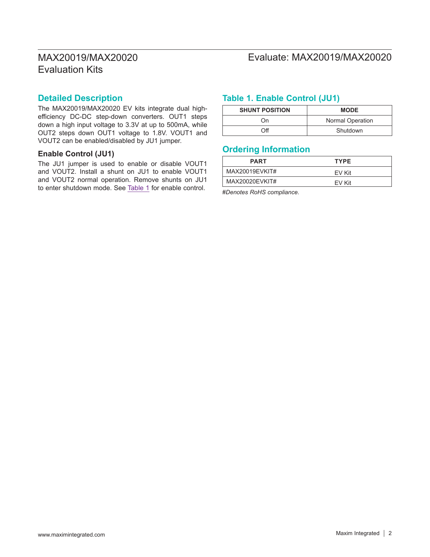## MAX20019/MAX20020 Evaluate: MAX20019/MAX20020

#### **Detailed Description**

The MAX20019/MAX20020 EV kits integrate dual highefficiency DC-DC step-down converters. OUT1 steps down a high input voltage to 3.3V at up to 500mA, while OUT2 steps down OUT1 voltage to 1.8V. VOUT1 and VOUT2 can be enabled/disabled by JU1 jumper.

#### **Enable Control (JU1)**

The JU1 jumper is used to enable or disable VOUT1 and VOUT2. Install a shunt on JU1 to enable VOUT1 and VOUT2 normal operation. Remove shunts on JU1 to enter shutdown mode. See [Table 1](#page-1-1) for enable control.

### <span id="page-1-1"></span>**Table 1. Enable Control (JU1)**

| <b>SHUNT POSITION</b> | <b>MODE</b>      |
|-----------------------|------------------|
| ωu                    | Normal Operation |
| ገff                   | Shutdown         |

#### <span id="page-1-0"></span>**Ordering Information**

| <b>PART</b>    | <b>TYPE</b> |
|----------------|-------------|
| MAX20019EVKIT# | FV Kit      |
| MAX20020EVKIT# | FV Kit      |

#*Denotes RoHS compliance.*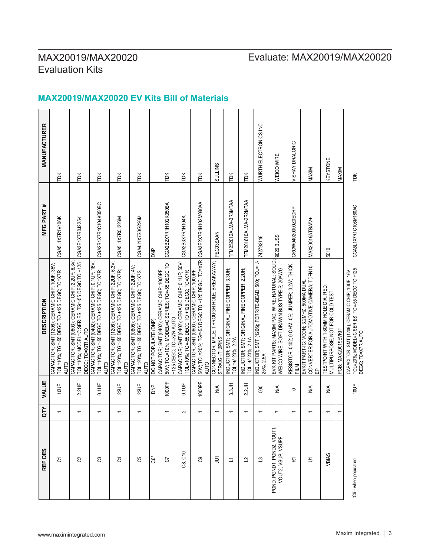# MAX20019/MAX20020 Evaluate: MAX20019/MAX20020

### **MAX20019/MAX20020 EV Kits Bill of Materials**

| REF DES                                          | ĞΣ                       | VALUE                   | <b>DESCRIPTION</b>                                                                                                          | MFG PART #            | <b>MANUFACTURER</b>    |
|--------------------------------------------------|--------------------------|-------------------------|-----------------------------------------------------------------------------------------------------------------------------|-----------------------|------------------------|
| $\overline{O}$                                   |                          | 10UF                    | CAPACITOR; SMT (1206); CERAMIC CHIP; 10UF; 35V;<br>TOL=10%; TG=-55 DEGC TO +125 DEGC; TC=X7R<br><b>AUTO</b>                 | CGA5L1X7R1V106K       | ÌЖ                     |
| S                                                | $\overline{\phantom{0}}$ | $2.2 \cup F$            | CAPACITOR; SMT (0603); CERAMIC CHIP; 2.2UF; 6.3V;<br>TOL=10%; MODEL=C SERIES; TG=-55 DEGC TO +125<br>DEGC; TC=X7R AUTO      | CGA3E1X7R0J225K       | TDK                    |
| පි                                               | $\overline{\phantom{0}}$ | 0.1UF                   | CAPACITOR; SMT (0402); CERAMIC CHIP; 0.1UF; 16V;<br>TOL=10%; TG=-55 DEGC TO +125 DEGC; TC=X7R<br><b>AUTO</b>                | CGA2B1X7R1C104K050BC  | TDK                    |
| J                                                | $\overline{\phantom{0}}$ | 220F                    | CAPACITOR; SMT (1206); CERAMIC CHIP; 22UF; 6.3V;<br>TOL=20%; TG=-55 DEGC TO +125 DEGC; TC=X7R;<br><b>AUTO</b>               | CGA5L1X7R0J226M       | ÌЖ                     |
| පි                                               | $\overline{\phantom{0}}$ | $220$ F                 | CAPACITOR; SMT (0805); CERAMIC CHIP; 22UF; 4V;<br>TOL=20%; TG=-55 DEGC TO +125 DEGC; TC=X7S;<br><b>AUTO</b>                 | CGA4J1X7S0G226M       | Ř                      |
| ප්                                               |                          | $\approx$               | DO NOT POPULATE (DNP)                                                                                                       | <b>BKD</b>            |                        |
| 5                                                | $\overline{\phantom{0}}$ | 1000PF                  | 50V; TOL=10%; MODEL=C SERIES; TG=-55 DEGC TO<br>CAPACITOR; SMT (0402); CERAMIC CHIP; 1000PF;<br>+125 DEGC; TC=X7R AUTO      | CGA2B2X7R1H102K050BA  | TDK                    |
| C8, C10                                          | $\sim$                   | 0.1UF                   | CAPACITOR; SMT (0402); CERAMIC CHIP; 0.1UF; 50V;<br>TOL=10%; TG=-55 DEGC TO +125 DEGC; TC=X7R                               | CGA2B3X7R1H104K       | TDK                    |
| පි                                               | $\overline{\phantom{0}}$ | 1000PF                  | 50V; TOL=20%; TG=-55 DEGC TO +125 DEGC; TC=X7R CGA3E2X7R1H102M080AA<br>CAPACITOR; SMT (0603); CERAMIC CHIP; 1000PF;<br>AUTO |                       | Ĕ                      |
| $\tilde{=}$                                      | $\overline{\phantom{0}}$ | $\frac{4}{2}$           | CONNECTOR; MALE; THROUGH HOLE; BREAKAWAY;<br>STRAIGHT; 3PINS                                                                | PEC03SAAN             | <b>SULLINS</b>         |
| $\overline{\mathbb{Z}}$                          | $\overline{\phantom{0}}$ | 3.3UH                   | INDUCTOR; SMT; ORIGINAL FINE COPPER; 3.3UH;<br>TOL=+/-20%; 2.2A                                                             | TFM252012ALMA-3R3MTAA | TDK                    |
| $\overline{c}$                                   | $\overline{\phantom{0}}$ | 2.2UH                   | INDUCTOR; SMT; ORIGINAL FINE COPPER; 2.2UH;<br>TOL=+/-20%; 2.1A                                                             | TFM201610ALMA-2R2MTAA | īЭ                     |
| $\mathbf{C}$                                     | $\overline{ }$           | 500                     | INDUCTOR; SMT (1206); FERRITE-BEAD; 500; TOL=+/-<br>25%; 2.5A                                                               | 742792116             | WURTH ELECTRONICS INC. |
| PGND, PGND1, PGND2, VOUT1,<br>VOUT2, VSUP, VSUPF | L                        | ≸                       | EVK KIT PARTS; MAXIM PAD; WIRE; NATURAL; SOLID;<br>WEICO WIRE; SOFT DRAWN BUS TYPE-S; 20AWG                                 | 9020 BUSS             | WEICO WIRE             |
| 쥰                                                | $\overline{\phantom{0}}$ | $\circ$                 | RESISTOR; 0402; 0 OHM; 0%; JUMPER; 0.2W; THICK<br>FILM                                                                      | CRCW04020000Z0EDHP    | VISHAY DRALORIC        |
| $\overline{5}$                                   | $\overline{ }$           | $\stackrel{\leq}{\geq}$ | CONVERTER FOR AUTOMOTIVE CAMERA; TDFN10-<br>EVKIT PART-IC; VCON; 3.2MHZ; 500MA DUAL<br>缶                                    | MAX20019ATBAN+        | MAXIM                  |
| VBIAS                                            | $\overline{\phantom{0}}$ | ≸                       | TESTPOINT WITH 1.80MM HOLE DIA, RED,<br>MULTIPURPOSE; NOT FOR COLD TEST                                                     | 5010                  | <b>KEYSTONE</b>        |
|                                                  |                          |                         | PCB: MAX20019EVKIT                                                                                                          |                       | MAXIM                  |
| *C6 - when populated                             |                          | 10UF                    | TOL=20%; MODEL=C SERIES; TG=-55 DEGC TO +125<br>CAPACITOR; SMT (1206); CERAMIC CHIP; 10UF; 16V;<br>DEGC; TC=X7R AUTO        | CGA5L1X7R1C106M160AC  | ĬΡ                     |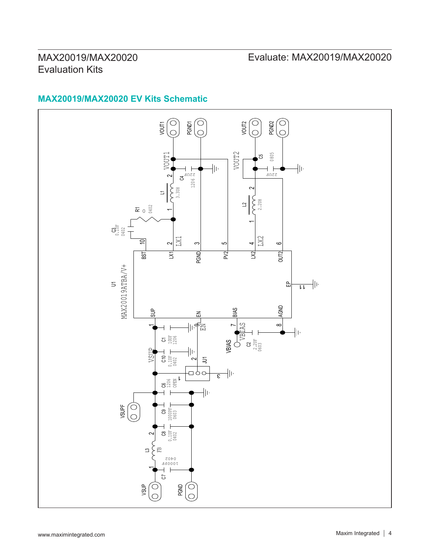## MAX20019/MAX20020 Evaluate: MAX20019/MAX20020

# **MAX20019/MAX20020 EV Kits Schematic**

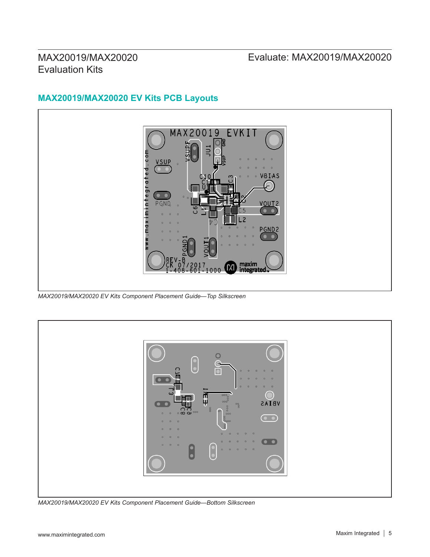## MAX20019/MAX20020 Evaluate: MAX20019/MAX20020

## **MAX20019/MAX20020 EV Kits PCB Layouts**



*MAX20019/MAX20020 EV Kits Component Placement Guide—Top Silkscreen*



*MAX20019/MAX20020 EV Kits Component Placement Guide—Bottom Silkscreen*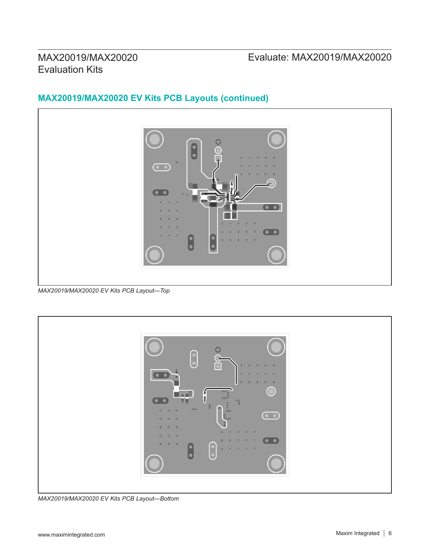## MAX20019/MAX20020 Evaluate: MAX20019/MAX20020

# **MAX20019/MAX20020 EV Kits PCB Layouts (continued)**



*MAX20019/MAX20020 EV Kits PCB Layout—Top*



*MAX20019/MAX20020 EV Kits PCB Layout—Bottom*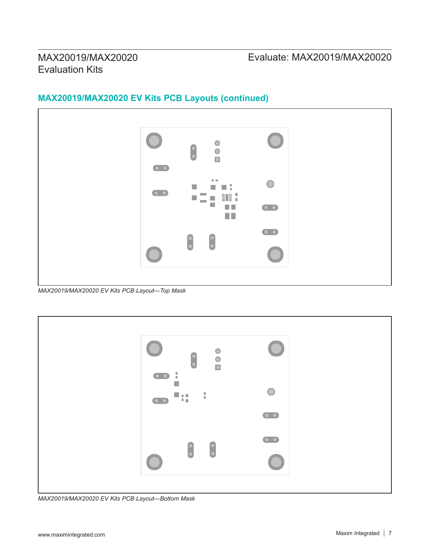## **MAX20019/MAX20020 EV Kits PCB Layouts (continued)**



*MAX20019/MAX20020 EV Kits PCB Layout—Top Mask*



*MAX20019/MAX20020 EV Kits PCB Layout—Bottom Mask*